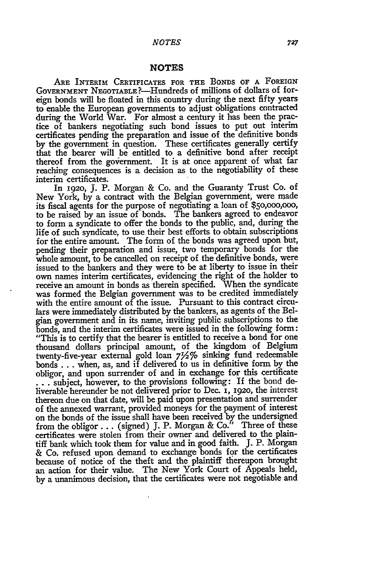## **NOTES**

**ARE INTERIM CERTIFICATES FOR THE BONDS OF A FOREIGN GOVERNMENT NEGOTIABLE** ?-Hundreds of millions of dollars of foreign bonds will be floated in this country during the next fifty years to enable the European governments to adjust obligations contracted during the World War. For almost a century it has been the practice of bankers negotiating such bond issues to put out interim certificates pending the preparation and issue of the definitive bonds by the government in question. These certificates generally certify that the bearer will be entitled to a definitive bond after receipt thereof from the government. It is at once apparent of what far reaching consequences is a decision as to the negotiability of these interim certificates.

In **I92O,** J. P. Morgan & Co. and the Guaranty Trust Co. of New York, by a contract with the Belgian government, were made its fiscal agents for the purpose of negotiating a loan of **\$50,000,000,** to be raised by an issue of bonds. The bankers agreed to endeavor to form a syndicate to offer the bonds to the public, and, during the life of such syndicate, to use their best efforts to obtain subscriptions for the entire amount. The form of the bonds was agreed upon but, pending their preparation and issue, two temporary bonds for the whole amount, to be cancelled on receipt of the definitive bonds, were issued to the bankers and they were to be at liberty to issue in their own names interim certificates, evidencing the right of the holder to receive an amount in bonds as therein specified. When the syndicate was formed the Belgian government was to be credited immediately with the entire amount of the issue. Pursuant to this contract circulars were immediately distributed by the bankers, as agents of the Belgian government and in its name, inviting public subscriptions to the bonds, and the interim certificates were issued in the following form: "This is to certify that the bearer is entitled to receive a bond for one thousand dollars principal amount, of the kingdom of Belgium twenty-five-year external gold loan **7329** sinking fund redeemable bonds... when, as, and if delivered to us in definitive form by the obligor, and upon surrender of and in exchange for this certificate **.** subject, however, to the provisions following: If the bond deliverable hereunder be not delivered prior to Dec. **I, 1920,** the interest thereon due on that date, will be paid upon presentation and surrender of the annexed warrant, provided moneys for the payment of interest on the bonds of the issue shall have been received by the undersigned from the obligor... (signed) J. P. Morgan &  $Co.^{\prime\prime}$  Three of these certificates were stolen from their owner and delivered to the plaintiff bank which took them for value and in good faith. **J.** P. Morgan & Co. refused upon demand to exchange bonds for the certificates because of notice of the theft and the plaintiff thereupon brought an action for their value. The New York Court **of** Appeals held, by a unanimous decision, that the certificates were not negotiable and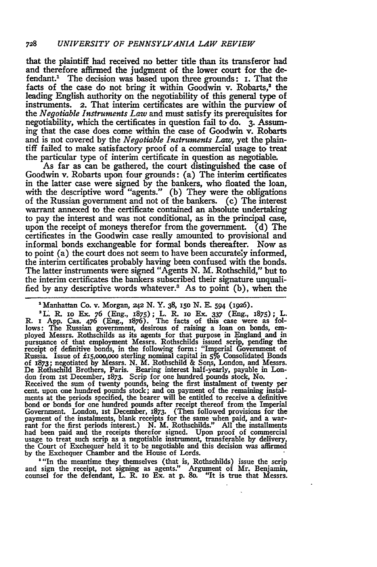that the plaintiff had received no better title than its transferor had and therefore affirmed the judgment of the lower court for the defendant.' The decision was based upon three grounds: i. That the facts of the case do not bring it within Goodwin v. Robarts,<sup>2</sup> the leading English authority on the negotiability of this general type of instruments. **2.** That interim certificates are within the purview of *the Negotiable Instruments Law* and must satisfy its prerequisites for negotiability, which the certificates in question fail to do. **3.** Assuming that the case does come within the case of Goodwin v. **Robarts** and is not covered by the *Negotiable Instruments Law,* yet the plaintiff failed to make satisfactory proof of a commercial usage to treat the particular type of interim certificate in question as negotiable.

As far as can be gathered, the court distinguished the case of Goodwin v. Robarts upon four grounds: (a) The interim certificates in the latter case were signed by the bankers, who floated the loan, with the descriptive word "agents." **(b)** They were the obligations of the Russian government and not of the bankers. (c) The interest warrant annexed to the certificate contained an absolute undertaking to pay the interest and was not conditional, as in the principal case, upon the receipt of moneys therefor from the government. (d) The certificates in the Goodwin case really amounted to provisional and informal bonds exchangeable for formal bonds thereafter. Now as to point (a) the court does not seem to have been accurately informed, the interim certificates probably having been confused with the bonds. The latter instruments were signed "Agents **N.** M. Rothschild," but to the interim certificates the bankers subscribed their signature unqualified by any descriptive words whatever.<sup>3</sup> As to point  $(b)$ , when the

**2 L. R. Io** Ex. **76** (Eng., **1875);** L. **R. 1O Ex. 337 (Eng., 1875); L.** R. **x App.** Cas. 476 (Eng., 1876). The facts of this case were as follows: The Russian government, desirous of raising a loan on bonds, em-<br>ployed Messrs. Rothschilds as its agents for that purpose in England and in pursuance of that employment Messrs. Rothschilds issued scrip, pending the receipt of definitive bonds, in the following form: "Imperial Government of Russia. Issue of £15,000,000 sterling nominal capital in 5% Consolidate De Rothschild Brothers, Paris. Bearing interest half-yearly, payable in Lon-don from ist December, 1873. Scrip for one hundred pounds stock, No. Received the sum of twenty pounds, being the first instalment of twenty per cent. upon one hundred pounds stock; and on payment of the remaining instalments at the periods specified, the bearer will be entitled to receive a definitive bond or bonds for one hundred pounds after receipt thereof from rant for the first periods interest.) N. M. Rothschilds." All the installments had been paid and the receipts therefor signed. Upon proof of commercial usage to treat such scrip as a negotiable instrument, transferable **by** delivery, the Court of Exchequed held it to be negotiable and this decision was affrmed **by** the Exchequer Chamber and the House of Lords.

'"In the meantime they themselves (that is, Rothschilds) issue the scrip and sign the receipt, not signing as agents." Argument of Mr. Benjamin, counsel for the defendant, L. R. io Ex. at **p.** 8o. "It is true that Messrs.

<sup>1</sup> Manhattan Co. v. Morgan, 242 **N. Y. 38, 15o N. E. 594 (1926).**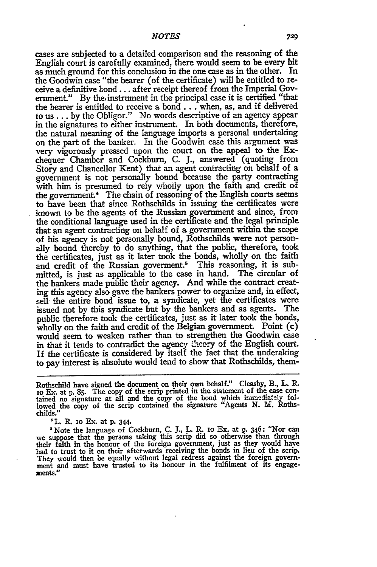cases are subjected to a detailed comparison and the reasoning of the English court is carefully examined, there would seem to be every bit as much ground for this conclusion in the one case as in the other. In the Goodwin case "the bearer (of the certificate) will be entitled to receive a definitive bond... after receipt thereof from the Imperial Government." By the. instrument in the principal case it is certified "that the bearer is entitled to receive a bond... when, as, and if delivered to us... by the Obligor." No words descriptive of an agency appear in the signatures to either instrument. In both documents, therefore, the natural meaning of the language imports a personal undertaking on the part of the banker. In the Goodwin case this argument was very vigorously pressed upon the court on the appeal to the Exchequer Chamber and Cockburn, C. J., answered (quoting from Story and Chancellor Kent) that an agent contracting on behalf of a government is not personally bound because the party contracting with him is presumed to rely wholly upon the faith and credit of the government.' The chain of reasoning of the English courts seems to have been that since Rothschilds in issuing the certificates were known to be the agents of the Russian government and since, from the conditional language used in the certificate and the legal principle that **an** agent contracting on behalf of a government within the scope of his agency is not personally bound, Rothschilds were not personally bound thereby to do anything, that the public, therefore, took the certificates, just as it later took the bonds, wholly on the faith and credit of the Russian government.<sup>5</sup> This reasoning, it is submitted, is just as applicable to the case in hand. The circular of the bankers made public their agency. And while the contract creating this agency also gave the bankers power to organize and, in effect, sell the entire bond issue to, a syndicate, yet the certificates were issued not by this syndicate but **by** the bankers and as agents. The public therefore took the certificates, just as it later took the bonds, wholly on the faith and credit of the Belgian government. Point (c) would seem to weaken rather than to strengthen the Goodwin case in that it tends to contradict the agency theory of the English court. If the certificate is considered by itself the fact that the underaking to pay interest is absolute would tend to show that Rothschilds, them-

'L. R. io Ex. at **p.** 344.

'Note the language of Cockburn, **C. J.,** L. R. io Ex. at **p.** 346: "Nor can we suppose that the persons taking this scrip did so otherwise than through their faith in the honour of the foreign government, just as they would have had to trust to it on their afterwards receiving the bonds in lieu of the scrip. They would then be equally without legal redress against the foreign government and must have trusted to its honour in the fulfilment of its engagements."

Rothschild have signed the document on their own behalf." Cleasby, B., L. R. **1o** Ex. at p. **85.** The copy of the scrip printed in the statement of the case contained no signature at all and the copy of the bond which immediately fol-lowed the copy of the scrip contained the signature "Agents **N.** M. Rothschilds."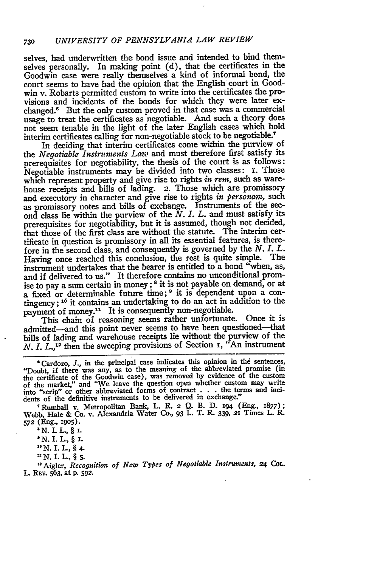selves, had underwritten the bond issue and intended to bind themselves personally. In making point (d), that the certificates in the Goodwin case were really themselves a kind of informal bond, the court seems to have had the opinion that the English court in Goodwin v. Robarts permitted custom to write into the certificates the provisions and incidents of the bonds for which they were later **ex**changed.<sup>6</sup> But the only custom proved in that case was a commercial usage to treat the certificates as negotiable. And such a theory does not seem tenable in the light of the later English cases which hold interim certificates calling for non-negotiable stock to be negotiable.7

In deciding that interim certificates come within the purview of the *Negotiable Instruments Law* and must therefore first satisfy its prerequisites for negotiability, the thesis of the court is as follows: Negotiable instruments may be divided into two classes: **i.** Those which represent property and give rise to rights *in rem,* such as warehouse receipts and bills of lading. **2.** Those which are promissory and executory in character and give rise to rights *in personam,* such as promissory notes and bills of exchange. Instruments of the second class lie within the purview of the *N. L L.* and must satisfy its prerequisites for negotiability, but it is assumed, though not decided, that those of the first class are without the statute. The interim certificate in question is promissory in all its essential features, is therefore in the second class, and consequently is governed by the *N. I. L.* Having once reached this conclusion, the rest is quite simple. The instrument undertakes that the bearer is entitled to a bond "when, as, and if delivered to us." It therefore contains no unconditional promise to pay a stun certain in money; **'** it is not payable on demand, or at a fixed or determinable future time;<sup>9</sup> it is dependent upon a contingency; **'6** it contains an undertaking to do an act in addition to the payment of money." It is consequently non-negotiable.

This chain of reasoning seems rather unfortunate. Once it is admitted-and this point never seems to have been questioned-that bills of lading and warehouse receipts lie without the purview of the *N. I. L.*,<sup>12</sup> then the sweeping provisions of Section I, "An instrument

**"N.** I. L., *§ 5.*

Aigler, *Recognition of New Types of Negotiable Instruments, 24* CoL. L. **REV.** 563, at **p. 592.**

<sup>&</sup>lt;sup>o</sup> Cardozo, *J.*, in the principal case indicates this opinion in the sentences, "Doubt, if there was any, as to the meaning of the abbreviated promise (in the certificate of the Goodwin case), was removed **by** evidence of the custom of the market," and "We leave the question open whether custom may write into "scrip" or other abbreviated forms of contract **. . .** the terms and incidents of the definitive instruments to be delivered in exchange."

<sup>&#</sup>x27;Rumball v. Metropolitan Bank, L. R. **2 Q.** B. **D.** i94 (Eng., **z877);** Webb, Hale & Co. v. Alexandria Water Co., **93** L. T. **R. 339,** 21 Times L. **R. 572** (Eng., **1905).**

*IN.* I. L., § i.

*IN.* I. L., **§ i.**

*<sup>&</sup>quot;* **N.** I. L., *§* **4.**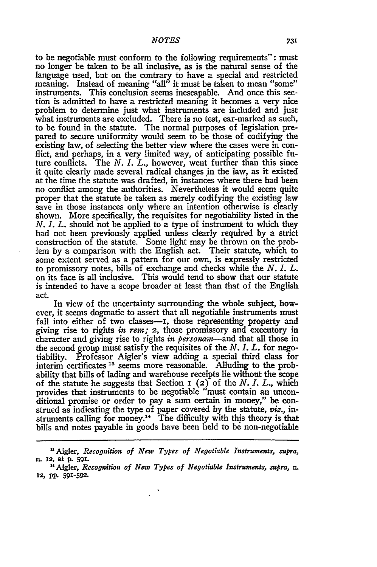to be negotiable must conform to the following requirements": must no longer be taken to be all inclusive, as is the natural sense of the language used, but on the contrary to have a special and restricted meaning. Instead of meaning "all" it must be taken to mean "some" instruments. This conclusion seems inescapable. And once this section is admitted to have a restricted meaning it becomes a very nice problem to determine just what instruments are iucluded and just what instruments are excluded. There is no test, ear-marked as such, to be found in the statute. The normal purposes of legislation prepared to secure uniformity would seem to be those of codifying the existing law, of selecting the better view where the cases were in conflict, and perhaps, in a very limited way, of anticipating possible future conflicts. The *N. I. L.,* however, went further than this since it quite clearly made several radical changes in the law, as it existed at the time the statute was drafted, in instances where there had been no conflict among the authorities. Nevertheless it would seem quite proper that the statute be taken as merely codifying the existing law save in those instances only where an intention otherwise is dearly shown. More specifically, the requisites for negotiability listed in the *N. I. L.* should not be applied to a type of instrument to which they had not been previously applied unless clearly required by a strict construction of the statute. Some light may be thrown on the problem by a comparison with the English act. Their statute, which to some extent served as a pattern for our own, is expressly restricted to promissory notes, bills of exchange and checks while the *N. I. L.* on its face is all inclusive. This would tend to show that our statute is intended to have a scope broader at least than that of the English act.

In view of the uncertainty surrounding the whole subject, however, it seems dogmatic to assert that all negotiable instruments must fall into either of two classes—I, those representing property and giving rise to rights *in reM;* 2, those promissory and executory in character and giving rise to rights *in personam-and* that all those in the second group must satisfy the requisites of the *N. I. L.* for negotiability. Professor Aigler's view adding a special third class for interim certificates <sup>13</sup> seems more reasonable. Alluding to the probability that bills of lading and warehouse receipts lie without the scope of the statute he suggests that Section **I** (2) of the *N. I. L.,* which provides that instruments to be negotiable "must contain an unconditional promise or order to pay a sum certain in money," be construed as indicating the type of paper covered by the statute, *viz.,* instruments calling for money.<sup>14</sup> The difficulty with this theory is that bills and notes payable in goods have been held to be non-negotiable

Aigler, *Recognition of New Types of Negotiable Instruments, supra,* **n. 12,** at **p. 591.**

**<sup>1</sup>** Aigler, *Recognition of New Types of Negotiable Instruments, supra,* n. **12,** pp. **591-592.**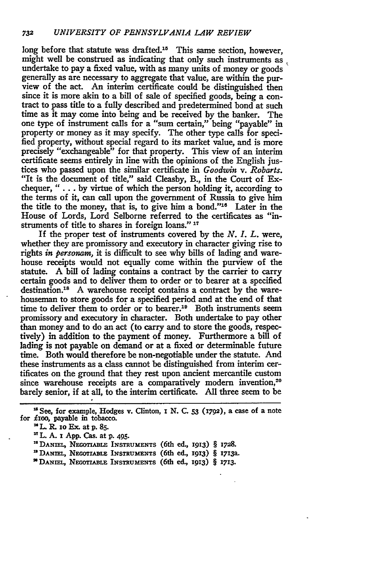long before that statute was drafted.<sup>15</sup> This same section, however, might well be construed as indicating that only such instruments as undertake to pay a fixed value, with as many units of money or goods generally as are necessary to aggregate that value, are within the purview of the act. An interim certificate could be distinguished then since it is more akin to a bill of sale of specified goods, being a contract to pass title to a fully described and predetermined bond at such time as it may come into being and be received by the banker. The one type of instrument calls for a "sum certain," being "payable" in property or money as it may specify. The other type calls for specified property, without special regard to its market value, and is more precisely "exchangeable" for that property. This view of an interim certificate seems entirely in line with the opinions of the English justices who passed upon the similar certificate in *Goodwin v. Robarts.* "It is the document of title," said Cleasby, B., in the Court of Exchequer, **"...** by virtue of which the person holding it, according to the terms of it, can call upon the government of Russia to give him the title to the money, that is, to give him a bond."<sup>16</sup> Later in the House of Lords, Lord Selborne referred to the certificates as "instruments of title to shares in foreign loans." **<sup>17</sup>**

**If** the proper test of instruments covered **by** the *N. I. L.* were, whether they are promissory and executory in character giving rise to rights *in personam,* it is difficult to see why bills of lading and warehouse receipts would not equally come within the purview of the statute. A bill of lading contains a contract by the carrier to carry certain goods and to deliver them to order or to bearer at a specified destination.'" A warehouse receipt contains a contract by the warehouseman to store goods for a specified period and at the end of that time to deliver them to order or to bearer.<sup>19</sup> Both instruments seem promissory and executory in character. Both undertake to pay other than money and to do an act (to carry and to store the goods, respectively) in addition to the payment of money. Furthermore a bill of lading is not payable on demand or at a fixed or determinable future time. Both would therefore be non-negotiable under the statute. And these instruments as a class cannot be distinguished from interim certificates on the ground that they rest upon ancient mercantile custom since warehouse receipts are a comparatively modern invention,<sup>20</sup> barely senior, if at all, to the interim certificate. **All** three seem to be

" **R.** io Ex. at **p. 85.** 1 L. **A.** I **App.** Cas. at **p.** 495.

- <sup>19</sup> DANIEL, NEGOTIABLE INSTRUMENTS (6th ed., 1913) § 1713a.
- DANIEL, **NEGoTIABLE INSTRUMENTS** (6th ed., **1913)** § **1713.**

<sup>&</sup>lt;sup>15</sup> See, for example, Hodges v. Clinton, **I** N. C. 53 (1792), a case of a note for **Ioo,** payable in tobacco.

**<sup>&</sup>quot;DANIEL,** NEGoTiA E **INSTRUMENTS** (6th ed., **1913)** § **1728.**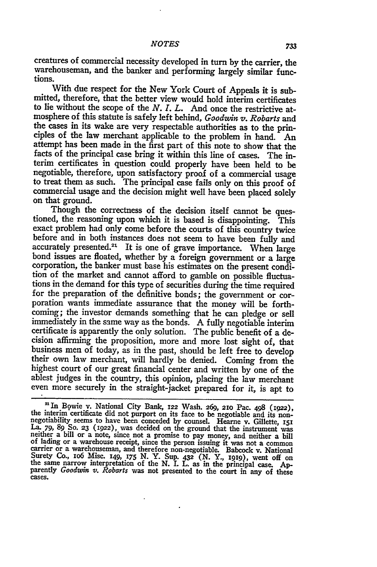creatures of commercial necessity developed in turn **by** the carrier, the warehouseman, and the banker and performing largely similar functions.

With due respect for the New York Court of Appeals it is submitted, therefore, that the better view would hold interim certificates to lie without the scope of the *N. L L.* And once the restrictive atmosphere of this statute is safely left behind, *Goodwin v. Robarts* and the cases in its wake are very respectable authorities as to the prin- ciples of the law merchant applicable to the problem in hand. An attempt has been made in the first part of this note to show that the facts of the principal case bring it within this line of cases. The interim certificates in question could properly have been held to be negotiable, therefore, upon satisfactory proof of a commercial usage to treat them as such. The principal case fails only on this proof of commercial usage and the decision might well have been placed solely

Though the correctness of the decision itself cannot be ques-<br>tioned, the reasoning upon which it is based is disappointing. This exact problem had only come before the courts of this country twice before and in both instances does not seem to have been fully and accurately presented.<sup>21</sup> It is one of grave importance. When large bond issues are floated, whether by a foreign government or a large corporation, the banker must base his estimates on the present condition of the market and cannot afford to gamble on possible fluctuations in the demand for this type of securities during the time required for the preparation of the definitive bonds; the government or corporation wants immediate assurance that the money will be forthcoming; the investor demands something that he can pledge or sell immediately in the same way as the bonds. A fully negotiable interim certificate is apparently the only solution. The public benefit of a decision affirming the proposition, more and more lost sight of, that their own law merchant, will hardly be denied. Coming from the highest court of our great financial center and written **by** one of the ablest judges in the country, this opinion, placing the law merchant even more securely in the straight-jacket prepared for it, is apt to

<sup>&</sup>lt;sup>21</sup> In Bowie v. National City Bank, 122 Wash. 269, 210 Pac. 498 (1922), the interim certificate did not purport on its face to be negotiable and its non-negotiability seems to have been conceded by counsel. Hearne v. Gil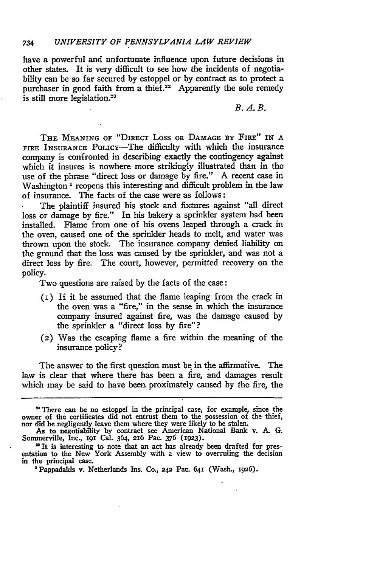have a powerful and unfortunate influence upon future decisions in other states. It is very difficult to see how the incidents of negotiability can be so far secured **by** estoppel or by contract as to protect a purchaser in good faith from a thief.<sup>22</sup> Apparently the sole remedy is still more legislation.<sup>23</sup>

*B.A.B.*

**THE MEANING** OF "DIRECT Loss OR DAMAGE **BY** FIRE" IN **A** FIRE INSURANCE POLICY-The difficulty with which the insurance company is confronted in describing exactly the contingency against which it insures is nowhere more strikingly illustrated than in the use of the phrase "direct loss or damage by fire." A recent case in Washington<sup>1</sup> reopens this interesting and difficult problem in the law of insurance. The facts of the case were as follows:

The plaintiff insured his stock and fixtures against "all direct loss or damage **by** fire." In his bakery a sprinkler system had been installed. Flame from one of his ovens leaped through a crack in the oven, caused one of the sprinkler heads to melt, and water was thrown upon the stock. The insurance company denied liability on the ground that the loss was caused **by** the sprinkler, and was not a direct loss **by** fire. The court, however, permitted recovery on the policy.

Two questions are raised **by** the facts of the case:

- (I) **If** it be assumed that the flame leaping from the crack in the oven was a "fire," in the sense in which the insurance company insured against fire, was the damage caused **by** the sprinkler a "direct loss **by** fire"?
- (2) Was the escaping flame a fire within the meaning of the insurance policy?

The answer to the first question must be in the affirmaiive. The law is clear that where there has been a **fire,** and damages result which may be said to have been proximately caused **by** the fire, the

<sup>&</sup>lt;sup>22</sup> There can be no estoppel in the principal case, for example, since the owner of the certificates did not entrust them to the possession of the thief, owner of the certificates did not entrust them to the possession of the thief, nor did he negligently leave them where they were likely to be stolen.

As to negotiability **by** contract see American National Bank v. **A.** G. Sommerville, Inc., **I91** Cal. 364, **216** Pac. **376 (1923).**

<sup>&</sup>lt;sup>22</sup> It is interesting to note that an act has already been drafted for presentation to the New York Assembly with a view to overruling the decision in the principal case.<br>  $\cdot$  Pappadakis v. Netherlands Ins. Co., 242 Pac. 641 (Wash., 1926).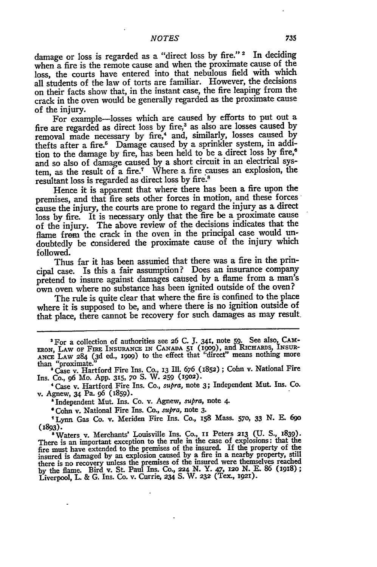damage or loss is regarded as a "direct loss by fire."<sup>2</sup> In deciding when a fire is the remote cause and when the proximate cause of the loss, the courts have entered into that nebulous field with which all students of the law of torts are familiar. However, the decisions on their facts show that, in the instant case, the fire leaping from the crack in the oven would be generally regarded as the proximate cause of the injury.

For example-losses which are caused by efforts to put out a fire are regarded as direct loss by fire,<sup>3</sup> as also are losses caused by removal made necessary by fire,<sup>4</sup> and, similarly, losses caused by thefts after a fire.<sup>5</sup> Damage caused by a sprinkler system, in addition to the damage by fire, has been held to be a direct loss by fire,6 and so also of damage caused by a short circuit in an electrical system, as the result of a fire.<sup>7</sup> Where a fire causes an explosion, the resultant loss is regarded as direct loss by fire.8

Hence it is apparent that where there has been a fire upon the premises, and that fire sets other forces in motion, and these forces cause the injury, the courts are prone to regard the injury as a direct loss by fire. It is necessary only that the fire be a proximate cause of the injury. The above review of the decisions indicates that the flame from the crack in the oven in the principal case would undoubtedly be considered the proximate cause of the injury which followed.

Thus far it has been assunied that there was a fire in the principal case. Is this a fair assumption? Does an insurance company pretend to insure against damages caused by a flame from a man's own oven where no substance has been ignited outside of the oven?

The rule is quite clear that where the fire is confined to the place where it is supposed to be, and where there is no ignition outside of that place, there cannot be recovery for such damages as may result,

' Case v. Hartford Fire Ins. Co., *sufpra,* note **3;** Independent Mut. Ins. Co. v. Agnew, 34 Pa. 96 (1859).

'Independent Mut. Ins. Co. v. Agnew, *supra,* note 4.

'Cohn v. National Fire Ins. Co., *supra,* note **3.**

Lynn Gas Co. v. Meriden Fire Ins. Co., **158** Mass. **570,** *33* **N. E. 69o**  $(1893).$ 

"Waters v. Merchants' Louisville Ins. Co., ii Peters **213 (U. S., 1839).** There is an important exception to the rule in the case of explosions: that the fire must have extended to the premises of the insured. If the property of the insured is damaged **by** an explosion caused **by** a fire in a nearby property, still there is no recovery unless the premises of the insured were themselves reached<br>by the flame. Bird v. St. Paul Ins. Co., 224 N. Y. 47, 120 N. E. 86 (1918):<br>Liverpool, L. & G. Ins. Co. v. Currie, 234 S. W. 232 (Tex., 1921).

<sup>&</sup>lt;sup>3</sup> For a collection of authorities see 26 C. J. 341, note 59. See also, CAM-<br>ERON, LAW OF FIRE INSURANCE IN CANADA 51 (1909), and RICHARDS, INSUR-<br>ANCE LAW 284 (3d ed., 1909) to the effect that "direct" means nothing more than "proximate."

**<sup>&</sup>quot;Case** v. Hartford Fire Ins. Co., 13 Ill. 676 **(1852) ;** Cohn v. National Fire Ins. Co., **96** Mo. App. **315, 70 S.** W. **259 (1902).**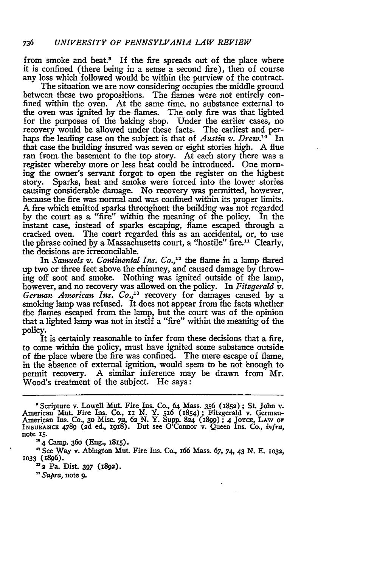from smoke and heat.<sup>9</sup> If the fire spreads out of the place where it is confined (there being in a sense a second fire), then of course any loss which followed would be within the purview of the contract.

The situation we are now considering occupies the middle ground between these two propositions. The flames were not entirely confined within the oven. At the same time. no substance external to the oven was ignited by the flames. The only fire was that lighted for the purposes of the baking shop. Under the earlier cases, no recovery would be allowed under these facts. The earliest and perhaps the leading case on the subject is that of *Austin v. Drew.10* In that case the building insured was seven or eight stories high. A flue ran from. the basement to the top story. At each story there was a register whereby more or less heat could be introduced. One morning the owner's servant forgot to open the register on the highest story. Sparks, heat and smoke were forced into the lower stories causing considerable damage. No recovery was permitted, however, because the fire was normal and was confined within its proper limits. A fire which emitted sparks throughout the building was not regarded by the court as a "fire" within the meaning of the policy. In the instant case, instead of sparks escaping, flame escaped through a cracked oven. The court regarded this as an accidental, or, to use the phrase coined by a Massachusetts court, a "hostile" fire." Clearly, the decisions are irreconcilable.

In *Samuels v. Continental Ins. Co.,12* the flame in a lamp flared up two or three feet above the chimney, and caused damage **by** throwing off soot and smoke. Nothing was ignited outside of the lamp, however, and no recovery was allowed on the policy. In *Fitzgerald v. German American Ins. Co.,'3* recovery for damages caused by a smoking lamp was refused. It does not appear from the facts whether the flames escaped from the lamp, but the court was of the opinion that a lighted lamp was not in itself a "fire" within the meaning of the policy.

It is certainly reasonable to infer from these decisions that a fire, to come within the policy, must have ignited some substance outside of the place where the fire was confined. The mere escape of flame, in the absence of external ignition, would seem to be not enough to permit recovery. A similar inference may be drawn from Mr. Wood's treatment of the subject. He says:

**=2** Pa. Dist. *397* **(1892).**

*" Supra,* **note** *9.*

Scripture v. Lowell Mut. Fire Ins. Co., 64 Mass. 356 (1852); St. John v. American Mut. Fire Ins. Co., 11 N. Y. 516 (1854); Fitzgerald v. German-American Ins. Co., 30 Misc. 72, 62 N. Y. Supp. 824 (1899); 4 Joyce, Law or **INsURANcE** 4789 **(2d** ed., x918). But see O'Connor v. Queen Ins. Co., infra, **note 15.**

**<sup>194</sup> Camp. 360** (Eng., **1815).**

See Way v. Abington Mut. Fire Ins. Co., 166 Mass. **67,** *74,* **43 N. E. 1032, 1033** (x896).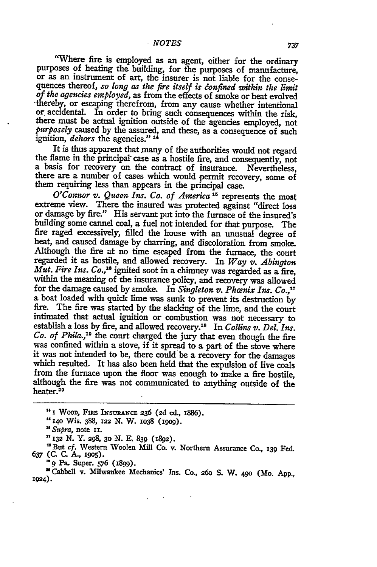"Where fire is employed as an agent, either for the ordinary purposes of heating the building, for the purposes of manufacture, or as an instrument of art, the insurer is not liable for the consequences thereof, *so long as the fire itself is donfined within the limit of the agencies employed,* as from the effects of smoke or heat evolved -thereby, or escaping therefrom, from any cause whether intentional or accidental. In order to bring such consequences within the risk, there must be actual ignition outside of the agencies employed, not *purposely* caused by the assured, and these, as a consequence of such ignition, *dehors* the agencies."<sup>14</sup>

It is thus apparent that many of the authorities would not regard the flame in the principal case as a hostile fire, and consequently, not a basis for recovery on the contract of insurance. Nevertheless, there are a number of cases which would permit recovery, some of them requiring less than appears in the principal case.

*O'Connor v. Queen Ins. Co. of America*<sup>15</sup> represents the most extreme view. There the insured was protected against "direct loss or damage **by** fire." His servant put into the furnace of the insured's building some cannel coal, a fuel not intended for that purpose. The fire raged excessively, filled the house with an unusual degree of heat, and caused damage **by** charring, and discoloration from smoke. Although the fire at no time escaped from the furnace, the court regarded it as hostile, and allowed recovery. In  $Way$  v. Abington Mut. Fire Ins. Co.,<sup>16</sup> ignited soot in a chimney was regarded as a fire, within the meaning of the insurance policy, and recovery was allowed for the damage caused by smoke. In *Singleton v. Phœnix Ins. Co.*,<sup>17</sup> a boat loaded with quick lime was sunk to prevent its destruction **by** fire. The fire was started **by** the slacking of the lime, and the court intimated that actual ignition or combustion was not necessary to establish a loss by fire, and allowed recovery.<sup>18</sup> In *Collins v. Del. Ins. Co. of Phila.,"9* the court charged the jury that even though the fire was confined within a stove, if it spread to a part of the stove where it was not intended to be, there could be a recovery for the damages which resulted. It has also been held that the expulsion of live coals from the furnace upon the floor was enough to make a fire hostile, although the fire was not communicated to anything outside of the heater.<sup>20</sup>

But cf. Western Woolen Mill Co. v. Northern Assurance Co., **i39** Fed. *<sup>637</sup>*(C. C. **A.,** i95).

**"9** Pa. Super. **576** (1899).

Cabbell v. Milwaukee Mechanics' Ins. Co., **26o S.** W. **49o** (Mo. **App., 1924).**

**<sup>16 1</sup>** Woop, FiRE INsuRAxcE **236 (2d** ed., i886).

**is** *140* Wis. 388, **122 N.** W. **1o38 (1909).** *<sup>1</sup> Supra,* note **ii.**

**i1,32 N.** Y. **298, 3o N. E. 839 (1892).**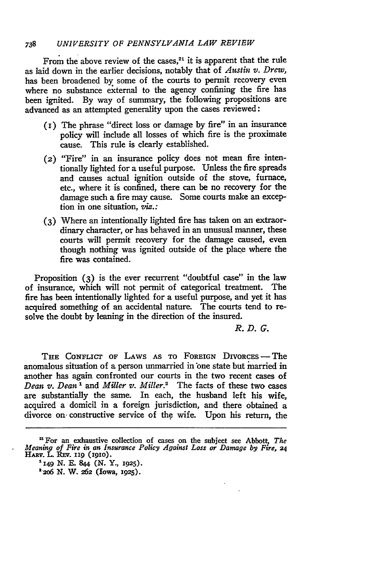## **738** *UNIVERSITY OF PENNSYLVANIA LAW REVIEW*

From the above review of the cases,<sup>21</sup> it is apparent that the rule as laid down in the earlier decisions, notably that of *Austin v. Drew,* has been broadened by some of the courts to permit recovery even where no substance external to the agency confining the fire has been ignited. By way of summary, the following propositions are advanced as an attempted generality upon the cases reviewed:

- (I) The phrase "direct loss or damage by fire" in an insurance policy will include all losses of which fire is the proximate cause. This rule is clearly established.
- (2) "Fire" in an insurance policy does not mean fire intentionally lighted for a useful purpose. Unless the fire spreads and causes actual ignition outside of the stove, furnace, etc., where it is confined, there can be no recovery for the damage such a fire may cause. Some courts make an exception in one situation, *viz.*:
- (3) Where an intentionally lighted fire has taken on an extraordinary character, or has behaved in an unusual manner, these courts will permit recovery for the damage caused, even though nothing was ignited outside of the place where the fire was contained.

Proposition **(3)** is the ever recurrent "doubtful case" in the law of insurance, which will not permit of categorical treatment. The fire has been intentionally lighted for a useful purpose, and yet it has acquired something of an accidental nature. The courts tend to resolve the doubt by leaning in the direction of the insured.

*R.D.G.*

THE CONFLICT OF LAWS AS TO FOREIGN DIVORCES-The anomalous situation of a person unmarried in one state but married in another has again confronted our courts in the two recent cases of *Dean v. Dean 1* and *Miller v. Miller.2* The facts of these two cases are substantially the same. In each, the husband left his wife, acquired a domicil in a foreign jurisdiction, and there obtained a divorce on- constructive service of the wife. Upon his return, the

For an exhaustive collection of cases on the subject see Abbott, *The Meaning of Fire in an Insurance Policy Against Loss or Damage by Fire, <sup>24</sup>* **HAv. L. Rv. iig (igio).**

**<sup>1149</sup> N. E. 844 (N. Y., 1925).**

**<sup>-2</sup>o6 N.** W. **262** (Iowa, 1925).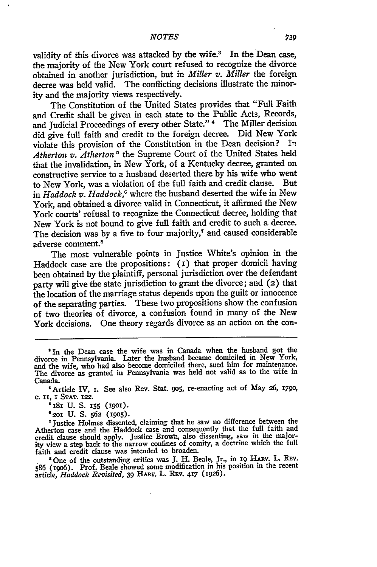validity of this divorce was attacked by the wife.<sup>3</sup> In the Dean case, the majority of the New York court refused to recognize the divorce obtained in another jurisdiction, but in *Miller v. Miller* the foreign decree was held valid. The conflicting decisions illustrate the minority and the majority views respectively.

The Constitution of the United States provides that "Full Faith and Credit shall be given in each state to the Public Acts, Records, and Judicial Proceedings of every other State."<sup>4</sup> The Miller decision did give full faith and credit to the foreign decree. Did New York violate this provision of the Constitution in the Dean decision? In *Atherton v. Atherton* " the Supreme Court of the United States held that the invalidation, in New York, of a Kentucky decree, granted on constructive service to a husband deserted there by his wife who went to New York, was a violation of the full faith and credit clause. But in *Haddock v. Haddock*,<sup>6</sup> where the husband deserted the wife in New York, and obtained a divorce valid in Connecticut, it affirmed the New York courts' refusal to recognize the Connecticut decree, holding that New York is not bound to give full faith and credit to such a decree. The decision was by a five to four majority, $\tau$  and caused considerable adverse comment.<sup>8</sup>

The most vulnerable points in Justice White's opinion in the Haddock case are the propositions: (i) that proper domicil having been obtained by the plaintiff, personal jurisdiction over the defendant party will give the state jurisdiction to grant the divorce; and **(2)** that the location of the marriage status depends upon the guilt or innocence of the separating parties. These two propositions show the confusion of two theories of divorce, a confusion found in many of the New York decisions. One theory regards divorce as an action on the con-

'Article IV, **i.** See also Rev. Stat. **9o5,** re-enacting act of May **26, 1790, C. ii, I STAT. 122.**

<sup>\*</sup> One of the outstanding critics was J. H. Beale, Jr., in 19 HARV. L. REV.<br>**\$86 (1906).** Prof. Beale showed some modification in his position in the recent article, *Haddock Revi ited,* **39** HARv. L. REV. **417 (1926).**

**<sup>&#</sup>x27;** In the Dean case the wife was in Canada when the husband got the divorce in Pennsylvania. Later the husband became domiciled in New York, and the wife, who had also become domiciled there, sued him for maintenance. The divorce as granted in Pennsylvania was held not valid as to the wife in Canada.

<sup>&#</sup>x27;18i **U. S. 155 (i9o).**

**a2oI U. S. 562** (19o5).

**<sup>&#</sup>x27;** Justice Holmes dissented, claiming that he saw no difference between the Atherton case and the Haddock case and consequently that the full faith and credit clause should apply. Justice Brown, also dissenting, saw in the majority view a step back to the narrow confines of comity, a doctrine which the full faith and credit clause was intended to broaden.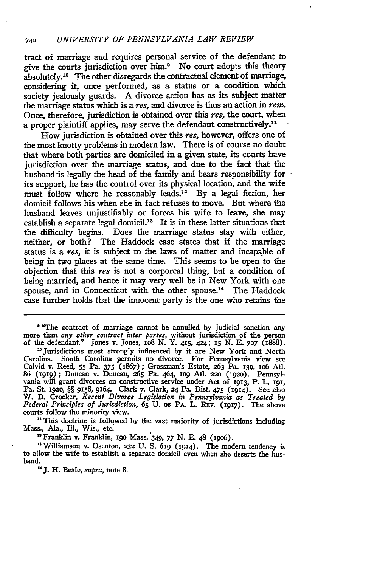tract of marriage and requires personal service of the defendant to give the courts jurisdiction over him.9 No court adopts this theory absolutely.10 The other disregards the contractual element of marriage, considering it, once performed, as a status or a condition which society jealously guards. **A** divorce action has as its subject matter the marriage status which is a *res,* and divorce is thus an action in *rem.* Once, therefore, jurisdiction is obtained over this *res,* the court, when a proper plaintiff applies, may serve the defendant constructively.<sup>11</sup>

How jurisdiction is obtained over this *res,* however, offers one of the most knotty problems in modem law. There is of course no doubt that where both parties are domiciled in a given state, its courts have jurisdiction over the marriage status, and due to the fact that the husband is legally the head of the family and bears responsibility for its support, he has the control over its physical location, and the wife must follow where he reasonably leads.22 **By** a legal fiction, her domicil follows his when she in fact refuses to move. But where the husband leaves unjustifiably or forces his wife to leave, she may establish a separate legal domicil.<sup>13</sup> It is in these latter situations that the difficulty begins. Does the marriage status stay with either, neither, or both? The Haddock case states that if the marriage status is a *res,* it is subject to the laws of matter and incapable of being in two places at the same time. This seems to be open to the objection that this *res* is not a corporeal thing, but a condition of being married, and hence it may very well be in New York with one spouse, and in Connecticut with the other spouse.<sup>14</sup> The Haddock case further holds that the innocent party is the one who retains the

"'The contract of marriage cannot be annulled by judicial sanction any more than *any other contract inter partes,* without jurisdiction of the person of the defendant." Jones v. Jones, io8 **N.** Y. 415, **424; I5** *N.* E. **707** (I888).

"Jurisdictions most strongly influenced **by** it are New York and North Carolina. South Carolina permits no divorce. For Pennsylvania view see Colvid v. Reed, **55** Pa. *375* (1867) **;** Grossman's Estate, **263** Pa. **139,** io6 At. **86 (1919);** Duncan v. Duncan, **265** Pa. 464, **io9** At. *220* (192o). Pennsylvania will grant divorces on constructive service under Act of **1913,** P. L. 191, Pa. St. **192o,** §§ 9158, 9164. Clark v. Clark, 24 Pa. Dist. 475 **(1914).** See also W. D. Crocker, *Recent Divorce Legislation in Pennsylvania as Treated by Federal Principles of Jurisdiction,* **65 U.** op PA. L. Rav. (1917). The above courts follow the minority view.

<sup>11</sup> This doctrine is followed by the vast majority of jurisdictions including Mass., Ala., **Ill.,** Wis., etc.

**"** Franklin v. Franklin, igo Mass. "349, **77 N. E.** 48 **(i906).**

"Williamson v. Osenton, **232 U. S.** 61g **(1914).** The modern tendency is to allow the wife to establish a separate domicil even when she deserts the husband.

**"** J. H. Beale, *supra,* note 8.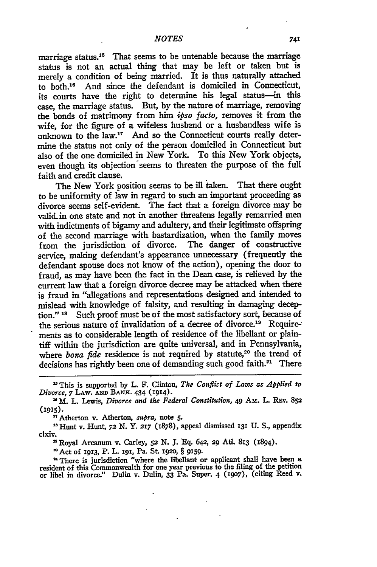marriage status.15 That seems to be untenable because the marriage status is not an actual thing that may be left or taken but is merely a condition of being married. It is thus naturally attached to both.16 And since the defendant is domiciled in Connecticut, its courts have the right to determine his legal status-in this case, the marriage status. But, **by** the nature of marriage, removing the bonds of matrimony from him *ipso facto,* removes it from the wife, for the figure of a wifeless husband or a husbandless wife is unknown to the law.<sup>17</sup> And so the Connecticut courts really determine the status not only of the person domiciled in Connecticut but also of the one domiciled in New York. To this New York objects, even though its objection seems to threaten the purpose of the full faith and credit clause.

The New York position seems to be **ill** taken. That there ought to be uniformity of law in regard to such an important proceeding as divorce seems self-evident. The fact that a foreign divorce may be valid in one state and not in another threatens legally remarried men with indictments of bigamy and adultery, and their legitimate offspring of the second marriage with bastardization, when the family moves from the jurisdiction of divorce. The danger of constructive service, making defendant's appearance unnecessary (frequently the defendant spouse does not know of the action), opening the door to fraud, as may have been *the* fact in the Dean case, is relieved **by** the current law that a foreign divorce decree may be attacked when there is fraud in "allegations and representations designed and intended to mislead with knowledge of falsity, and resulting in damaging deception."<sup>18</sup> Such proof must be of the most satisfactory sort, because of the serious nature of invalidation of a decree of divorce.19 Requirements as to considerable length of residence of the libellant or plaintiff within the jurisdiction are quite universal, and in Pennsylvania, where *bona fide* residence is not required by statute,<sup>20</sup> the trend of decisions has rightly been one of demanding such good faith.<sup>21</sup> There

"Atherton v. Atherton, *supra,* note **5.**

**"Hunt** v. Hunt, **72 N. Y. 217** (1878), appeal dismissed **131 U. S.,** appendix clxiv.

Royal Arcanum v. Carley, **52 N. J. Eq.** 642, **29** Atl. **813 (1894).**

Act of **1913,** P. L. i91, Pa. St *i92o,* § **9159.**

"There is jurisdiction "where the libellant or applicant shall have been a resident **of** this Commonwealth for one year previous to the filing of the petition or libel in divorce." Dulin v. Dulin, **33** Pa. Super. 4 **(907),** (citing Reed v.

<sup>&#</sup>x27;This is supported **by** L. F. Clinton, *The Conflict of Laws as Applied to Divorce, 7* **LAW. AND BANK.** 434 **(1914).**

<sup>&</sup>lt;sup>14</sup> M. L. Lewis, *Divorce and the Federal Constitution*, 49 AM. L. REV. 852 **(1915).**